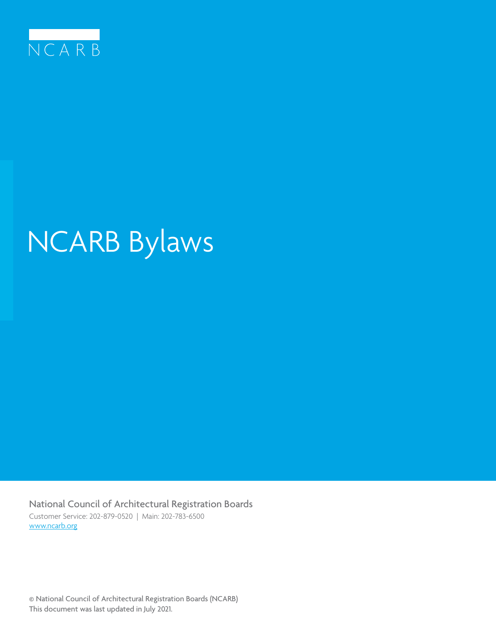

# NCARB Bylaws

National Council of Architectural Registration Boards Customer Service: 202-879-0520 | Main: 202-783-6500 www.ncarb.org

© National Council of Architectural Registration Boards (NCARB) This document was last updated in July 2021.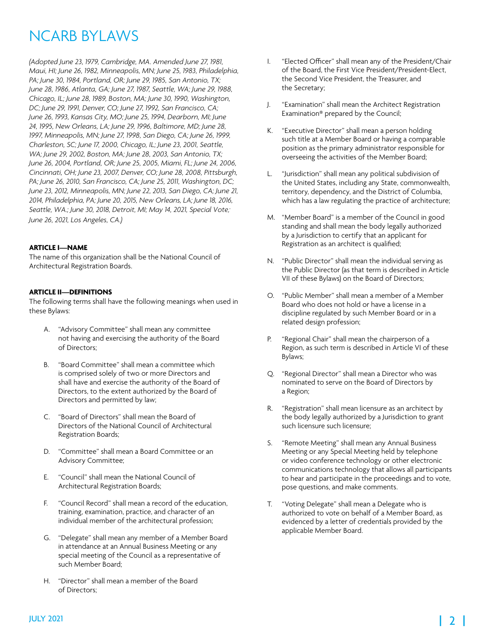## NCARB BYLAWS

*(Adopted June 23, 1979, Cambridge, MA. Amended June 27, 1981, Maui, HI; June 26, 1982, Minneapolis, MN; June 25, 1983, Philadelphia, PA; June 30, 1984, Portland, OR; June 29, 1985, San Antonio, TX; June 28, 1986, Atlanta, GA; June 27, 1987, Seattle, WA; June 29, 1988, Chicago, IL; June 28, 1989, Boston, MA; June 30, 1990, Washington, DC; June 29, 1991, Denver, CO; June 27, 1992, San Francisco, CA; June 26, 1993, Kansas City, MO; June 25, 1994, Dearborn, MI; June 24, 1995, New Orleans, LA; June 29, 1996, Baltimore, MD; June 28, 1997, Minneapolis, MN; June 27, 1998, San Diego, CA; June 26, 1999, Charleston, SC; June 17, 2000, Chicago, IL; June 23, 2001, Seattle, WA; June 29, 2002, Boston, MA; June 28, 2003, San Antonio, TX; June 26, 2004, Portland, OR; June 25, 2005, Miami, FL; June 24, 2006, Cincinnati, OH; June 23, 2007, Denver, CO; June 28, 2008, Pittsburgh, PA; June 26, 2010, San Francisco, CA; June 25, 2011, Washington, DC; June 23, 2012, Minneapolis, MN; June 22, 2013, San Diego, CA; June 21, 2014, Philadelphia, PA; June 20, 2015, New Orleans, LA; June 18, 2016, Seattle, WA.; June 30, 2018, Detroit, MI; May 14, 2021, Special Vote; June 26, 2021, Los Angeles, CA.)*

#### **ARTICLE I—NAME**

The name of this organization shall be the National Council of Architectural Registration Boards.

#### **ARTICLE II—DEFINITIONS**

The following terms shall have the following meanings when used in these Bylaws:

- A. "Advisory Committee" shall mean any committee not having and exercising the authority of the Board of Directors;
- B. "Board Committee" shall mean a committee which is comprised solely of two or more Directors and shall have and exercise the authority of the Board of Directors, to the extent authorized by the Board of Directors and permitted by law;
- C. "Board of Directors" shall mean the Board of Directors of the National Council of Architectural Registration Boards;
- D. "Committee" shall mean a Board Committee or an Advisory Committee;
- E. "Council" shall mean the National Council of Architectural Registration Boards;
- F. "Council Record" shall mean a record of the education, training, examination, practice, and character of an individual member of the architectural profession;
- G. "Delegate" shall mean any member of a Member Board in attendance at an Annual Business Meeting or any special meeting of the Council as a representative of such Member Board;
- H. "Director" shall mean a member of the Board of Directors;
- I. "Elected Officer" shall mean any of the President/Chair of the Board, the First Vice President/President-Elect, the Second Vice President, the Treasurer, and the Secretary;
- J. "Examination" shall mean the Architect Registration Examination® prepared by the Council;
- K. "Executive Director" shall mean a person holding such title at a Member Board or having a comparable position as the primary administrator responsible for overseeing the activities of the Member Board;
- L. "Jurisdiction" shall mean any political subdivision of the United States, including any State, commonwealth, territory, dependency, and the District of Columbia, which has a law regulating the practice of architecture;
- M. "Member Board" is a member of the Council in good standing and shall mean the body legally authorized by a Jurisdiction to certify that an applicant for Registration as an architect is qualified;
- N. "Public Director" shall mean the individual serving as the Public Director (as that term is described in Article VII of these Bylaws) on the Board of Directors;
- O. "Public Member" shall mean a member of a Member Board who does not hold or have a license in a discipline regulated by such Member Board or in a related design profession;
- P. "Regional Chair" shall mean the chairperson of a Region, as such term is described in Article VI of these Bylaws;
- Q. "Regional Director" shall mean a Director who was nominated to serve on the Board of Directors by a Region;
- R. "Registration" shall mean licensure as an architect by the body legally authorized by a Jurisdiction to grant such licensure such licensure;
- S. "Remote Meeting" shall mean any Annual Business Meeting or any Special Meeting held by telephone or video conference technology or other electronic communications technology that allows all participants to hear and participate in the proceedings and to vote, pose questions, and make comments.
- T. "Voting Delegate" shall mean a Delegate who is authorized to vote on behalf of a Member Board, as evidenced by a letter of credentials provided by the applicable Member Board.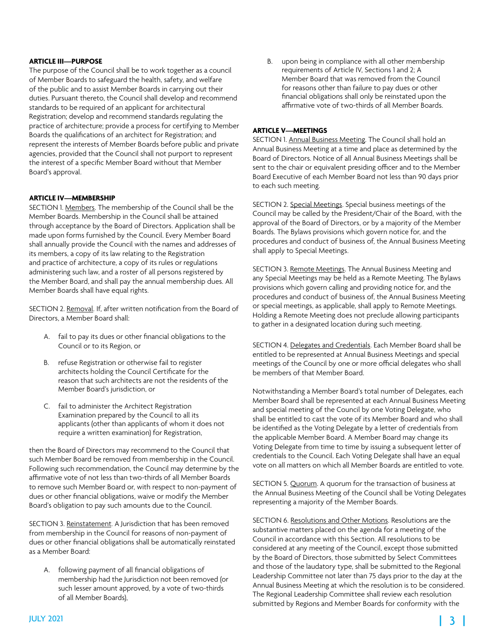#### **ARTICLE III—PURPOSE**

The purpose of the Council shall be to work together as a council of Member Boards to safeguard the health, safety, and welfare of the public and to assist Member Boards in carrying out their duties. Pursuant thereto, the Council shall develop and recommend standards to be required of an applicant for architectural Registration; develop and recommend standards regulating the practice of architecture; provide a process for certifying to Member Boards the qualifications of an architect for Registration; and represent the interests of Member Boards before public and private agencies, provided that the Council shall not purport to represent the interest of a specific Member Board without that Member Board's approval.

#### **ARTICLE IV—MEMBERSHIP**

SECTION 1. Members. The membership of the Council shall be the Member Boards. Membership in the Council shall be attained through acceptance by the Board of Directors. Application shall be made upon forms furnished by the Council. Every Member Board shall annually provide the Council with the names and addresses of its members, a copy of its law relating to the Registration and practice of architecture, a copy of its rules or regulations administering such law, and a roster of all persons registered by the Member Board, and shall pay the annual membership dues. All Member Boards shall have equal rights.

SECTION 2. Removal. If, after written notification from the Board of Directors, a Member Board shall:

- A. fail to pay its dues or other financial obligations to the Council or to its Region, or
- B. refuse Registration or otherwise fail to register architects holding the Council Certificate for the reason that such architects are not the residents of the Member Board's jurisdiction, or
- C. fail to administer the Architect Registration Examination prepared by the Council to all its applicants (other than applicants of whom it does not require a written examination) for Registration,

then the Board of Directors may recommend to the Council that such Member Board be removed from membership in the Council. Following such recommendation, the Council may determine by the affirmative vote of not less than two-thirds of all Member Boards to remove such Member Board or, with respect to non-payment of dues or other financial obligations, waive or modify the Member Board's obligation to pay such amounts due to the Council.

SECTION 3. Reinstatement. A Jurisdiction that has been removed from membership in the Council for reasons of non-payment of dues or other financial obligations shall be automatically reinstated as a Member Board:

A. following payment of all financial obligations of membership had the Jurisdiction not been removed (or such lesser amount approved, by a vote of two-thirds of all Member Boards),

B. upon being in compliance with all other membership requirements of Article IV, Sections 1 and 2; A Member Board that was removed from the Council for reasons other than failure to pay dues or other financial obligations shall only be reinstated upon the affirmative vote of two-thirds of all Member Boards.

#### **ARTICLE V—MEETINGS**

SECTION 1. Annual Business Meeting. The Council shall hold an Annual Business Meeting at a time and place as determined by the Board of Directors. Notice of all Annual Business Meetings shall be sent to the chair or equivalent presiding officer and to the Member Board Executive of each Member Board not less than 90 days prior to each such meeting.

SECTION 2. Special Meetings. Special business meetings of the Council may be called by the President/Chair of the Board, with the approval of the Board of Directors, or by a majority of the Member Boards. The Bylaws provisions which govern notice for, and the procedures and conduct of business of, the Annual Business Meeting shall apply to Special Meetings.

SECTION 3. Remote Meetings. The Annual Business Meeting and any Special Meetings may be held as a Remote Meeting. The Bylaws provisions which govern calling and providing notice for, and the procedures and conduct of business of, the Annual Business Meeting or special meetings, as applicable, shall apply to Remote Meetings. Holding a Remote Meeting does not preclude allowing participants to gather in a designated location during such meeting.

SECTION 4. Delegates and Credentials. Each Member Board shall be entitled to be represented at Annual Business Meetings and special meetings of the Council by one or more official delegates who shall be members of that Member Board.

Notwithstanding a Member Board's total number of Delegates, each Member Board shall be represented at each Annual Business Meeting and special meeting of the Council by one Voting Delegate, who shall be entitled to cast the vote of its Member Board and who shall be identified as the Voting Delegate by a letter of credentials from the applicable Member Board. A Member Board may change its Voting Delegate from time to time by issuing a subsequent letter of credentials to the Council. Each Voting Delegate shall have an equal vote on all matters on which all Member Boards are entitled to vote.

SECTION 5. Quorum. A quorum for the transaction of business at the Annual Business Meeting of the Council shall be Voting Delegates representing a majority of the Member Boards.

SECTION 6. Resolutions and Other Motions. Resolutions are the substantive matters placed on the agenda for a meeting of the Council in accordance with this Section. All resolutions to be considered at any meeting of the Council, except those submitted by the Board of Directors, those submitted by Select Committees and those of the laudatory type, shall be submitted to the Regional Leadership Committee not later than 75 days prior to the day at the Annual Business Meeting at which the resolution is to be considered. The Regional Leadership Committee shall review each resolution submitted by Regions and Member Boards for conformity with the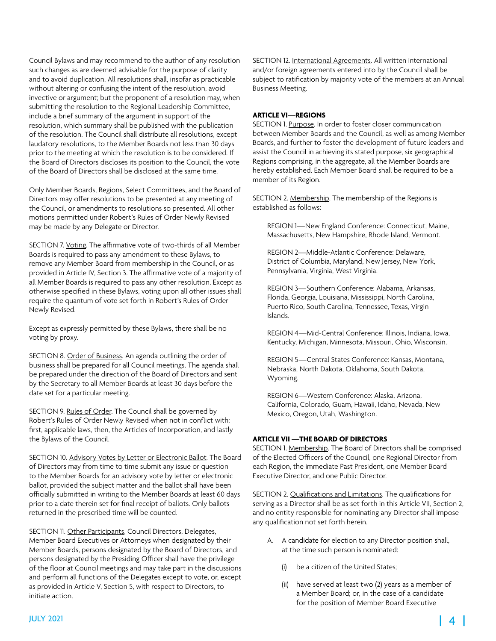Council Bylaws and may recommend to the author of any resolution such changes as are deemed advisable for the purpose of clarity and to avoid duplication. All resolutions shall, insofar as practicable without altering or confusing the intent of the resolution, avoid invective or argument; but the proponent of a resolution may, when submitting the resolution to the Regional Leadership Committee, include a brief summary of the argument in support of the resolution, which summary shall be published with the publication of the resolution. The Council shall distribute all resolutions, except laudatory resolutions, to the Member Boards not less than 30 days prior to the meeting at which the resolution is to be considered. If the Board of Directors discloses its position to the Council, the vote of the Board of Directors shall be disclosed at the same time.

Only Member Boards, Regions, Select Committees, and the Board of Directors may offer resolutions to be presented at any meeting of the Council, or amendments to resolutions so presented. All other motions permitted under Robert's Rules of Order Newly Revised may be made by any Delegate or Director.

SECTION 7. Voting. The affirmative vote of two-thirds of all Member Boards is required to pass any amendment to these Bylaws, to remove any Member Board from membership in the Council, or as provided in Article IV, Section 3. The affirmative vote of a majority of all Member Boards is required to pass any other resolution. Except as otherwise specified in these Bylaws, voting upon all other issues shall require the quantum of vote set forth in Robert's Rules of Order Newly Revised.

Except as expressly permitted by these Bylaws, there shall be no voting by proxy.

SECTION 8. Order of Business. An agenda outlining the order of business shall be prepared for all Council meetings. The agenda shall be prepared under the direction of the Board of Directors and sent by the Secretary to all Member Boards at least 30 days before the date set for a particular meeting.

SECTION 9. Rules of Order. The Council shall be governed by Robert's Rules of Order Newly Revised when not in conflict with: first, applicable laws, then, the Articles of Incorporation, and lastly the Bylaws of the Council.

SECTION 10. Advisory Votes by Letter or Electronic Ballot. The Board of Directors may from time to time submit any issue or question to the Member Boards for an advisory vote by letter or electronic ballot, provided the subject matter and the ballot shall have been officially submitted in writing to the Member Boards at least 60 days prior to a date therein set for final receipt of ballots. Only ballots returned in the prescribed time will be counted.

SECTION 11. Other Participants. Council Directors, Delegates, Member Board Executives or Attorneys when designated by their Member Boards, persons designated by the Board of Directors, and persons designated by the Presiding Officer shall have the privilege of the floor at Council meetings and may take part in the discussions and perform all functions of the Delegates except to vote, or, except as provided in Article V, Section 5, with respect to Directors, to initiate action.

SECTION 12. International Agreements. All written international and/or foreign agreements entered into by the Council shall be subject to ratification by majority vote of the members at an Annual Business Meeting.

#### **ARTICLE VI—REGIONS**

SECTION 1. Purpose. In order to foster closer communication between Member Boards and the Council, as well as among Member Boards, and further to foster the development of future leaders and assist the Council in achieving its stated purpose, six geographical Regions comprising, in the aggregate, all the Member Boards are hereby established. Each Member Board shall be required to be a member of its Region.

SECTION 2. Membership. The membership of the Regions is established as follows:

REGION 1—New England Conference: Connecticut, Maine, Massachusetts, New Hampshire, Rhode Island, Vermont.

REGION 2—Middle-Atlantic Conference: Delaware, District of Columbia, Maryland, New Jersey, New York, Pennsylvania, Virginia, West Virginia.

REGION 3—Southern Conference: Alabama, Arkansas, Florida, Georgia, Louisiana, Mississippi, North Carolina, Puerto Rico, South Carolina, Tennessee, Texas, Virgin Islands.

REGION 4—Mid-Central Conference: Illinois, Indiana, Iowa, Kentucky, Michigan, Minnesota, Missouri, Ohio, Wisconsin.

REGION 5—Central States Conference: Kansas, Montana, Nebraska, North Dakota, Oklahoma, South Dakota, Wyoming.

REGION 6—Western Conference: Alaska, Arizona, California, Colorado, Guam, Hawaii, Idaho, Nevada, New Mexico, Oregon, Utah, Washington.

#### **ARTICLE VII —THE BOARD OF DIRECTORS**

SECTION 1. Membership. The Board of Directors shall be comprised of the Elected Officers of the Council, one Regional Director from each Region, the immediate Past President, one Member Board Executive Director, and one Public Director.

SECTION 2. Qualifications and Limitations. The qualifications for serving as a Director shall be as set forth in this Article VII, Section 2, and no entity responsible for nominating any Director shall impose any qualification not set forth herein.

- A. A candidate for election to any Director position shall, at the time such person is nominated:
	- (i) be a citizen of the United States;
	- (ii) have served at least two (2) years as a member of a Member Board; or, in the case of a candidate for the position of Member Board Executive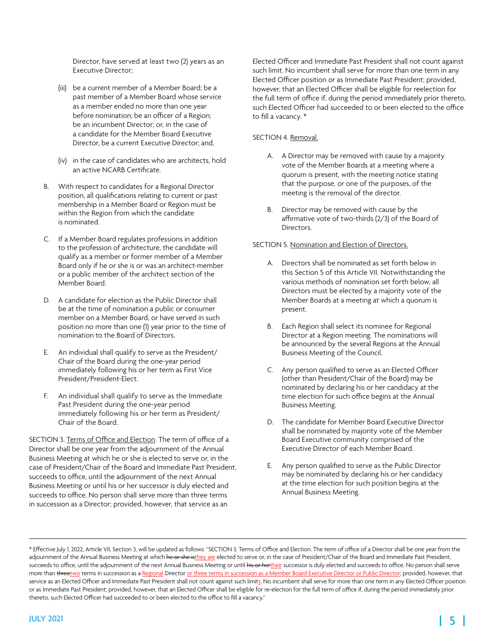Director, have served at least two (2) years as an Executive Director;

- (iii) be a current member of a Member Board; be a past member of a Member Board whose service as a member ended no more than one year before nomination; be an officer of a Region; be an incumbent Director; or, in the case of a candidate for the Member Board Executive Director, be a current Executive Director; and,
- (iv) in the case of candidates who are architects, hold an active NCARB Certificate.
- B. With respect to candidates for a Regional Director position, all qualifications relating to current or past membership in a Member Board or Region must be within the Region from which the candidate is nominated.
- C. If a Member Board regulates professions in addition to the profession of architecture, the candidate will qualify as a member or former member of a Member Board only if he or she is or was an architect-member or a public member of the architect section of the Member Board.
- D. A candidate for election as the Public Director shall be at the time of nomination a public or consumer member on a Member Board, or have served in such position no more than one (1) year prior to the time of nomination to the Board of Directors.
- E. An individual shall qualify to serve as the President/ Chair of the Board during the one-year period immediately following his or her term as First Vice President/President-Elect.
- F. An individual shall qualify to serve as the Immediate Past President during the one-year period immediately following his or her term as President/ Chair of the Board.

SECTION 3. Terms of Office and Election. The term of office of a Director shall be one year from the adjournment of the Annual Business Meeting at which he or she is elected to serve or, in the case of President/Chair of the Board and Immediate Past President, succeeds to office, until the adjournment of the next Annual Business Meeting or until his or her successor is duly elected and succeeds to office. No person shall serve more than three terms in succession as a Director; provided, however, that service as an

Elected Officer and Immediate Past President shall not count against such limit. No incumbent shall serve for more than one term in any Elected Officer position or as Immediate Past President; provided, however, that an Elected Officer shall be eligible for reelection for the full term of office if, during the period immediately prior thereto, such Elected Officer had succeeded to or been elected to the office to fill a vacancy. \*

#### SECTION 4. Removal.

- A. A Director may be removed with cause by a majority vote of the Member Boards at a meeting where a quorum is present, with the meeting notice stating that the purpose, or one of the purposes, of the meeting is the removal of the director.
- B. Director may be removed with cause by the affirmative vote of two-thirds (2/3) of the Board of Directors.

#### SECTION 5. Nomination and Election of Directors.

- A. Directors shall be nominated as set forth below in this Section 5 of this Article VII. Notwithstanding the various methods of nomination set forth below, all Directors must be elected by a majority vote of the Member Boards at a meeting at which a quorum is present.
- B. Each Region shall select its nominee for Regional Director at a Region meeting. The nominations will be announced by the several Regions at the Annual Business Meeting of the Council.
- C. Any person qualified to serve as an Elected Officer (other than President/Chair of the Board) may be nominated by declaring his or her candidacy at the time election for such office begins at the Annual Business Meeting.
- D. The candidate for Member Board Executive Director shall be nominated by majority vote of the Member Board Executive community comprised of the Executive Director of each Member Board.
- E. Any person qualified to serve as the Public Director may be nominated by declaring his or her candidacy at the time election for such position begins at the Annual Business Meeting.

<sup>\*</sup> Effective July 1, 2022, Article VII, Section 3, will be updated as follows: "SECTION 3. Terms of Office and Election. The term of office of a Director shall be one year from the adjournment of the Annual Business Meeting at which he or she isthey are elected to serve or, in the case of President/Chair of the Board and Immediate Past President, succeeds to office, until the adjournment of the next Annual Business Meeting or until his or hertheir successor is duly elected and succeeds to office. No person shall serve more than threetwo terms in succession as a Regional Director or three terms in succession as a Member Board Executive Director or Public Director; provided, however, that service as an Elected Officer and Immediate Past President shall not count against such limits. No incumbent shall serve for more than one term in any Elected Officer position or as Immediate Past President; provided, however, that an Elected Officer shall be eligible for re-election for the full term of office if, during the period immediately prior thereto, such Elected Officer had succeeded to or been elected to the office to fill a vacancy."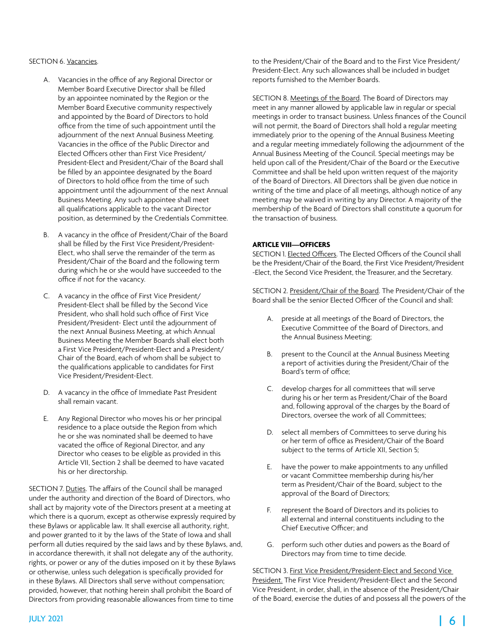#### SECTION 6. Vacancies.

- A. Vacancies in the office of any Regional Director or Member Board Executive Director shall be filled by an appointee nominated by the Region or the Member Board Executive community respectively and appointed by the Board of Directors to hold office from the time of such appointment until the adjournment of the next Annual Business Meeting. Vacancies in the office of the Public Director and Elected Officers other than First Vice President/ President-Elect and President/Chair of the Board shall be filled by an appointee designated by the Board of Directors to hold office from the time of such appointment until the adjournment of the next Annual Business Meeting. Any such appointee shall meet all qualifications applicable to the vacant Director position, as determined by the Credentials Committee.
- B. A vacancy in the office of President/Chair of the Board shall be filled by the First Vice President/President-Elect, who shall serve the remainder of the term as President/Chair of the Board and the following term during which he or she would have succeeded to the office if not for the vacancy.
- C. A vacancy in the office of First Vice President/ President-Elect shall be filled by the Second Vice President, who shall hold such office of First Vice President/President- Elect until the adjournment of the next Annual Business Meeting, at which Annual Business Meeting the Member Boards shall elect both a First Vice President/President-Elect and a President/ Chair of the Board, each of whom shall be subject to the qualifications applicable to candidates for First Vice President/President-Elect.
- D. A vacancy in the office of Immediate Past President shall remain vacant.
- E. Any Regional Director who moves his or her principal residence to a place outside the Region from which he or she was nominated shall be deemed to have vacated the office of Regional Director, and any Director who ceases to be eligible as provided in this Article VII, Section 2 shall be deemed to have vacated his or her directorship.

SECTION 7. Duties. The affairs of the Council shall be managed under the authority and direction of the Board of Directors, who shall act by majority vote of the Directors present at a meeting at which there is a quorum, except as otherwise expressly required by these Bylaws or applicable law. It shall exercise all authority, right, and power granted to it by the laws of the State of Iowa and shall perform all duties required by the said laws and by these Bylaws, and, in accordance therewith, it shall not delegate any of the authority, rights, or power or any of the duties imposed on it by these Bylaws or otherwise, unless such delegation is specifically provided for in these Bylaws. All Directors shall serve without compensation; provided, however, that nothing herein shall prohibit the Board of Directors from providing reasonable allowances from time to time

to the President/Chair of the Board and to the First Vice President/ President-Elect. Any such allowances shall be included in budget reports furnished to the Member Boards.

SECTION 8. Meetings of the Board. The Board of Directors may meet in any manner allowed by applicable law in regular or special meetings in order to transact business. Unless finances of the Council will not permit, the Board of Directors shall hold a regular meeting immediately prior to the opening of the Annual Business Meeting and a regular meeting immediately following the adjournment of the Annual Business Meeting of the Council. Special meetings may be held upon call of the President/Chair of the Board or the Executive Committee and shall be held upon written request of the majority of the Board of Directors. All Directors shall be given due notice in writing of the time and place of all meetings, although notice of any meeting may be waived in writing by any Director. A majority of the membership of the Board of Directors shall constitute a quorum for the transaction of business.

#### **ARTICLE VIII—OFFICERS**

SECTION 1. Elected Officers. The Elected Officers of the Council shall be the President/Chair of the Board, the First Vice President/President -Elect, the Second Vice President, the Treasurer, and the Secretary.

SECTION 2. President/Chair of the Board. The President/Chair of the Board shall be the senior Elected Officer of the Council and shall:

- A. preside at all meetings of the Board of Directors, the Executive Committee of the Board of Directors, and the Annual Business Meeting;
- B. present to the Council at the Annual Business Meeting a report of activities during the President/Chair of the Board's term of office;
- C. develop charges for all committees that will serve during his or her term as President/Chair of the Board and, following approval of the charges by the Board of Directors, oversee the work of all Committees;
- D. select all members of Committees to serve during his or her term of office as President/Chair of the Board subject to the terms of Article XII, Section 5;
- E. have the power to make appointments to any unfilled or vacant Committee membership during his/her term as President/Chair of the Board, subject to the approval of the Board of Directors;
- F. represent the Board of Directors and its policies to all external and internal constituents including to the Chief Executive Officer; and
- G. perform such other duties and powers as the Board of Directors may from time to time decide.

SECTION 3. First Vice President/President-Elect and Second Vice President. The First Vice President/President-Elect and the Second Vice President, in order, shall, in the absence of the President/Chair of the Board, exercise the duties of and possess all the powers of the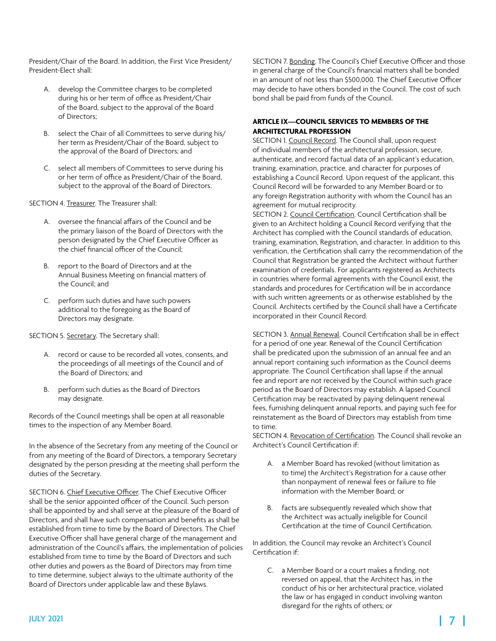President/Chair of the Board. In addition, the First Vice President/ President-Elect shall:

- A. develop the Committee charges to be completed during his or her term of office as President/Chair of the Board, subject to the approval of the Board of Directors;
- B. select the Chair of all Committees to serve during his/ her term as President/Chair of the Board, subject to the approval of the Board of Directors; and
- C. select all members of Committees to serve during his or her term of office as President/Chair of the Board, subject to the approval of the Board of Directors.

SECTION 4. Treasurer. The Treasurer shall:

- A. oversee the financial affairs of the Council and be the primary liaison of the Board of Directors with the person designated by the Chief Executive Officer as the chief financial officer of the Council;
- B. report to the Board of Directors and at the Annual Business Meeting on financial matters of the Council; and
- C. perform such duties and have such powers additional to the foregoing as the Board of Directors may designate.

SECTION 5. Secretary. The Secretary shall:

- A. record or cause to be recorded all votes, consents, and the proceedings of all meetings of the Council and of the Board of Directors; and
- B. perform such duties as the Board of Directors may designate.

Records of the Council meetings shall be open at all reasonable times to the inspection of any Member Board.

In the absence of the Secretary from any meeting of the Council or from any meeting of the Board of Directors, a temporary Secretary designated by the person presiding at the meeting shall perform the duties of the Secretary.

SECTION 6. Chief Executive Officer. The Chief Executive Officer shall be the senior appointed officer of the Council. Such person shall be appointed by and shall serve at the pleasure of the Board of Directors, and shall have such compensation and benefits as shall be established from time to time by the Board of Directors. The Chief Executive Officer shall have general charge of the management and administration of the Council's affairs, the implementation of policies established from time to time by the Board of Directors and such other duties and powers as the Board of Directors may from time to time determine, subject always to the ultimate authority of the Board of Directors under applicable law and these Bylaws.

SECTION 7. Bonding. The Council's Chief Executive Officer and those in general charge of the Council's financial matters shall be bonded in an amount of not less than \$500,000. The Chief Executive Officer may decide to have others bonded in the Council. The cost of such bond shall be paid from funds of the Council.

#### **ARTICLE IX—COUNCIL SERVICES TO MEMBERS OF THE ARCHITECTURAL PROFESSION**

SECTION 1. Council Record. The Council shall, upon request of individual members of the architectural profession, secure, authenticate, and record factual data of an applicant's education, training, examination, practice, and character for purposes of establishing a Council Record. Upon request of the applicant, this Council Record will be forwarded to any Member Board or to any foreign Registration authority with whom the Council has an agreement for mutual reciprocity.

SECTION 2. Council Certification. Council Certification shall be given to an Architect holding a Council Record verifying that the Architect has complied with the Council standards of education, training, examination, Registration, and character. In addition to this verification, the Certification shall carry the recommendation of the Council that Registration be granted the Architect without further examination of credentials. For applicants registered as Architects in countries where formal agreements with the Council exist, the standards and procedures for Certification will be in accordance with such written agreements or as otherwise established by the Council. Architects certified by the Council shall have a Certificate incorporated in their Council Record.

SECTION 3. Annual Renewal. Council Certification shall be in effect for a period of one year. Renewal of the Council Certification shall be predicated upon the submission of an annual fee and an annual report containing such information as the Council deems appropriate. The Council Certification shall lapse if the annual fee and report are not received by the Council within such grace period as the Board of Directors may establish. A lapsed Council Certification may be reactivated by paying delinquent renewal fees, furnishing delinquent annual reports, and paying such fee for reinstatement as the Board of Directors may establish from time to time.

SECTION 4. Revocation of Certification. The Council shall revoke an Architect's Council Certification if:

- A. a Member Board has revoked (without limitation as to time) the Architect's Registration for a cause other than nonpayment of renewal fees or failure to file information with the Member Board; or
- B. facts are subsequently revealed which show that the Architect was actually ineligible for Council Certification at the time of Council Certification.

In addition, the Council may revoke an Architect's Council Certification if:

C. a Member Board or a court makes a finding, not reversed on appeal, that the Architect has, in the conduct of his or her architectural practice, violated the law or has engaged in conduct involving wanton disregard for the rights of others; or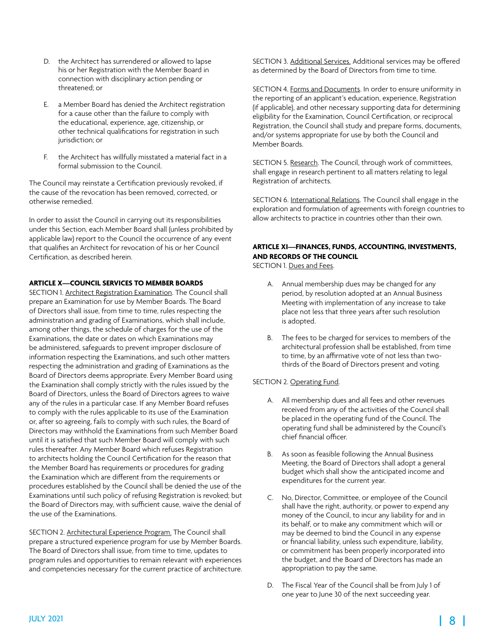- D. the Architect has surrendered or allowed to lapse his or her Registration with the Member Board in connection with disciplinary action pending or threatened; or
- a Member Board has denied the Architect registration for a cause other than the failure to comply with the educational, experience, age, citizenship, or other technical qualifications for registration in such jurisdiction; or
- F. the Architect has willfully misstated a material fact in a formal submission to the Council.

The Council may reinstate a Certification previously revoked, if the cause of the revocation has been removed, corrected, or otherwise remedied.

In order to assist the Council in carrying out its responsibilities under this Section, each Member Board shall (unless prohibited by applicable law) report to the Council the occurrence of any event that qualifies an Architect for revocation of his or her Council Certification, as described herein.

#### **ARTICLE X—COUNCIL SERVICES TO MEMBER BOARDS**

SECTION 1. Architect Registration Examination. The Council shall prepare an Examination for use by Member Boards. The Board of Directors shall issue, from time to time, rules respecting the administration and grading of Examinations, which shall include, among other things, the schedule of charges for the use of the Examinations, the date or dates on which Examinations may be administered, safeguards to prevent improper disclosure of information respecting the Examinations, and such other matters respecting the administration and grading of Examinations as the Board of Directors deems appropriate. Every Member Board using the Examination shall comply strictly with the rules issued by the Board of Directors, unless the Board of Directors agrees to waive any of the rules in a particular case. If any Member Board refuses to comply with the rules applicable to its use of the Examination or, after so agreeing, fails to comply with such rules, the Board of Directors may withhold the Examinations from such Member Board until it is satisfied that such Member Board will comply with such rules thereafter. Any Member Board which refuses Registration to architects holding the Council Certification for the reason that the Member Board has requirements or procedures for grading the Examination which are different from the requirements or procedures established by the Council shall be denied the use of the Examinations until such policy of refusing Registration is revoked; but the Board of Directors may, with sufficient cause, waive the denial of the use of the Examinations.

SECTION 2. Architectural Experience Program. The Council shall prepare a structured experience program for use by Member Boards. The Board of Directors shall issue, from time to time, updates to program rules and opportunities to remain relevant with experiences and competencies necessary for the current practice of architecture. SECTION 3. Additional Services. Additional services may be offered as determined by the Board of Directors from time to time.

SECTION 4. Forms and Documents. In order to ensure uniformity in the reporting of an applicant's education, experience, Registration (if applicable), and other necessary supporting data for determining eligibility for the Examination, Council Certification, or reciprocal Registration, the Council shall study and prepare forms, documents, and/or systems appropriate for use by both the Council and Member Boards.

SECTION 5. Research. The Council, through work of committees, shall engage in research pertinent to all matters relating to legal Registration of architects.

SECTION 6. International Relations. The Council shall engage in the exploration and formulation of agreements with foreign countries to allow architects to practice in countries other than their own.

### **ARTICLE XI—FINANCES, FUNDS, ACCOUNTING, INVESTMENTS, AND RECORDS OF THE COUNCIL**

SECTION 1. Dues and Fees.

- A. Annual membership dues may be changed for any period, by resolution adopted at an Annual Business Meeting with implementation of any increase to take place not less that three years after such resolution is adopted.
- B. The fees to be charged for services to members of the architectural profession shall be established, from time to time, by an affirmative vote of not less than twothirds of the Board of Directors present and voting.

#### SECTION 2. Operating Fund.

- A. All membership dues and all fees and other revenues received from any of the activities of the Council shall be placed in the operating fund of the Council. The operating fund shall be administered by the Council's chief financial officer.
- B. As soon as feasible following the Annual Business Meeting, the Board of Directors shall adopt a general budget which shall show the anticipated income and expenditures for the current year.
- C. No, Director, Committee, or employee of the Council shall have the right, authority, or power to expend any money of the Council, to incur any liability for and in its behalf, or to make any commitment which will or may be deemed to bind the Council in any expense or financial liability, unless such expenditure, liability, or commitment has been properly incorporated into the budget, and the Board of Directors has made an appropriation to pay the same.
- D. The Fiscal Year of the Council shall be from July 1 of one year to June 30 of the next succeeding year.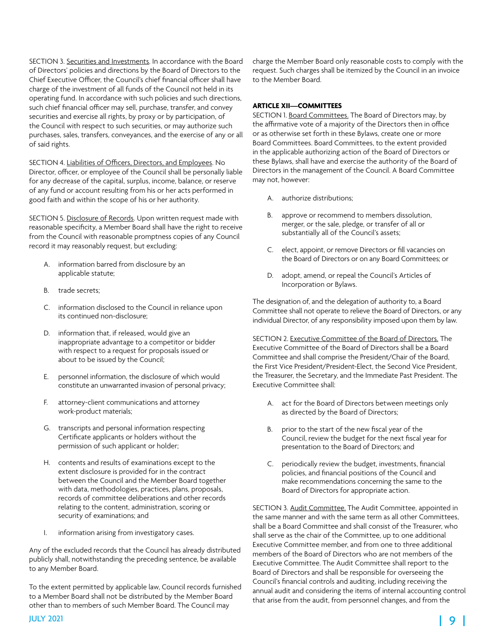SECTION 3. Securities and Investments. In accordance with the Board of Directors' policies and directions by the Board of Directors to the Chief Executive Officer, the Council's chief financial officer shall have charge of the investment of all funds of the Council not held in its operating fund. In accordance with such policies and such directions, such chief financial officer may sell, purchase, transfer, and convey securities and exercise all rights, by proxy or by participation, of the Council with respect to such securities, or may authorize such purchases, sales, transfers, conveyances, and the exercise of any or all of said rights.

SECTION 4. Liabilities of Officers, Directors, and Employees. No Director, officer, or employee of the Council shall be personally liable for any decrease of the capital, surplus, income, balance, or reserve of any fund or account resulting from his or her acts performed in good faith and within the scope of his or her authority.

SECTION 5. Disclosure of Records. Upon written request made with reasonable specificity, a Member Board shall have the right to receive from the Council with reasonable promptness copies of any Council record it may reasonably request, but excluding:

- A. information barred from disclosure by an applicable statute;
- B. trade secrets;
- C. information disclosed to the Council in reliance upon its continued non-disclosure;
- D. information that, if released, would give an inappropriate advantage to a competitor or bidder with respect to a request for proposals issued or about to be issued by the Council;
- E. personnel information, the disclosure of which would constitute an unwarranted invasion of personal privacy;
- F. attorney-client communications and attorney work-product materials;
- G. transcripts and personal information respecting Certificate applicants or holders without the permission of such applicant or holder;
- H. contents and results of examinations except to the extent disclosure is provided for in the contract between the Council and the Member Board together with data, methodologies, practices, plans, proposals, records of committee deliberations and other records relating to the content, administration, scoring or security of examinations; and
- I. information arising from investigatory cases.

Any of the excluded records that the Council has already distributed publicly shall, notwithstanding the preceding sentence, be available to any Member Board.

To the extent permitted by applicable law, Council records furnished to a Member Board shall not be distributed by the Member Board other than to members of such Member Board. The Council may

charge the Member Board only reasonable costs to comply with the request. Such charges shall be itemized by the Council in an invoice to the Member Board.

#### **ARTICLE XII—COMMITTEES**

SECTION 1. Board Committees. The Board of Directors may, by the affirmative vote of a majority of the Directors then in office or as otherwise set forth in these Bylaws, create one or more Board Committees. Board Committees, to the extent provided in the applicable authorizing action of the Board of Directors or these Bylaws, shall have and exercise the authority of the Board of Directors in the management of the Council. A Board Committee may not, however:

- A. authorize distributions;
- B. approve or recommend to members dissolution, merger, or the sale, pledge, or transfer of all or substantially all of the Council's assets;
- C. elect, appoint, or remove Directors or fill vacancies on the Board of Directors or on any Board Committees; or
- D. adopt, amend, or repeal the Council's Articles of Incorporation or Bylaws.

The designation of, and the delegation of authority to, a Board Committee shall not operate to relieve the Board of Directors, or any individual Director, of any responsibility imposed upon them by law.

SECTION 2. Executive Committee of the Board of Directors. The Executive Committee of the Board of Directors shall be a Board Committee and shall comprise the President/Chair of the Board, the First Vice President/President-Elect, the Second Vice President, the Treasurer, the Secretary, and the Immediate Past President. The Executive Committee shall:

- A. act for the Board of Directors between meetings only as directed by the Board of Directors;
- B. prior to the start of the new fiscal year of the Council, review the budget for the next fiscal year for presentation to the Board of Directors; and
- C. periodically review the budget, investments, financial policies, and financial positions of the Council and make recommendations concerning the same to the Board of Directors for appropriate action.

SECTION 3. Audit Committee. The Audit Committee, appointed in the same manner and with the same term as all other Committees, shall be a Board Committee and shall consist of the Treasurer, who shall serve as the chair of the Committee, up to one additional Executive Committee member, and from one to three additional members of the Board of Directors who are not members of the Executive Committee. The Audit Committee shall report to the Board of Directors and shall be responsible for overseeing the Council's financial controls and auditing, including receiving the annual audit and considering the items of internal accounting control that arise from the audit, from personnel changes, and from the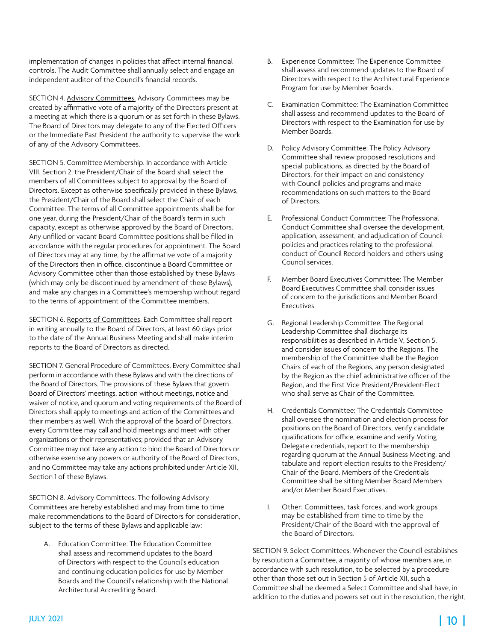implementation of changes in policies that affect internal financial controls. The Audit Committee shall annually select and engage an independent auditor of the Council's financial records.

SECTION 4. Advisory Committees. Advisory Committees may be created by affirmative vote of a majority of the Directors present at a meeting at which there is a quorum or as set forth in these Bylaws. The Board of Directors may delegate to any of the Elected Officers or the Immediate Past President the authority to supervise the work of any of the Advisory Committees.

SECTION 5. Committee Membership. In accordance with Article VIII, Section 2, the President/Chair of the Board shall select the members of all Committees subject to approval by the Board of Directors. Except as otherwise specifically provided in these Bylaws, the President/Chair of the Board shall select the Chair of each Committee. The terms of all Committee appointments shall be for one year, during the President/Chair of the Board's term in such capacity, except as otherwise approved by the Board of Directors. Any unfilled or vacant Board Committee positions shall be filled in accordance with the regular procedures for appointment. The Board of Directors may at any time, by the affirmative vote of a majority of the Directors then in office, discontinue a Board Committee or Advisory Committee other than those established by these Bylaws (which may only be discontinued by amendment of these Bylaws), and make any changes in a Committee's membership without regard to the terms of appointment of the Committee members.

SECTION 6. Reports of Committees. Each Committee shall report in writing annually to the Board of Directors, at least 60 days prior to the date of the Annual Business Meeting and shall make interim reports to the Board of Directors as directed.

SECTION 7. General Procedure of Committees. Every Committee shall perform in accordance with these Bylaws and with the directions of the Board of Directors. The provisions of these Bylaws that govern Board of Directors' meetings, action without meetings, notice and waiver of notice, and quorum and voting requirements of the Board of Directors shall apply to meetings and action of the Committees and their members as well. With the approval of the Board of Directors, every Committee may call and hold meetings and meet with other organizations or their representatives; provided that an Advisory Committee may not take any action to bind the Board of Directors or otherwise exercise any powers or authority of the Board of Directors, and no Committee may take any actions prohibited under Article XII, Section 1 of these Bylaws.

SECTION 8. Advisory Committees. The following Advisory Committees are hereby established and may from time to time make recommendations to the Board of Directors for consideration, subject to the terms of these Bylaws and applicable law:

A. Education Committee: The Education Committee shall assess and recommend updates to the Board of Directors with respect to the Council's education and continuing education policies for use by Member Boards and the Council's relationship with the National Architectural Accrediting Board.

- B. Experience Committee: The Experience Committee shall assess and recommend updates to the Board of Directors with respect to the Architectural Experience Program for use by Member Boards.
- C. Examination Committee: The Examination Committee shall assess and recommend updates to the Board of Directors with respect to the Examination for use by Member Boards.
- D. Policy Advisory Committee: The Policy Advisory Committee shall review proposed resolutions and special publications, as directed by the Board of Directors, for their impact on and consistency with Council policies and programs and make recommendations on such matters to the Board of Directors.
- E. Professional Conduct Committee: The Professional Conduct Committee shall oversee the development, application, assessment, and adjudication of Council policies and practices relating to the professional conduct of Council Record holders and others using Council services.
- F. Member Board Executives Committee: The Member Board Executives Committee shall consider issues of concern to the jurisdictions and Member Board Executives.
- G. Regional Leadership Committee: The Regional Leadership Committee shall discharge its responsibilities as described in Article V, Section 5, and consider issues of concern to the Regions. The membership of the Committee shall be the Region Chairs of each of the Regions, any person designated by the Region as the chief administrative officer of the Region, and the First Vice President/President-Elect who shall serve as Chair of the Committee.
- H. Credentials Committee: The Credentials Committee shall oversee the nomination and election process for positions on the Board of Directors, verify candidate qualifications for office, examine and verify Voting Delegate credentials, report to the membership regarding quorum at the Annual Business Meeting, and tabulate and report election results to the President/ Chair of the Board. Members of the Credentials Committee shall be sitting Member Board Members and/or Member Board Executives.
- I. Other: Committees, task forces, and work groups may be established from time to time by the President/Chair of the Board with the approval of the Board of Directors.

SECTION 9. Select Committees. Whenever the Council establishes by resolution a Committee, a majority of whose members are, in accordance with such resolution, to be selected by a procedure other than those set out in Section 5 of Article XII, such a Committee shall be deemed a Select Committee and shall have, in addition to the duties and powers set out in the resolution, the right,